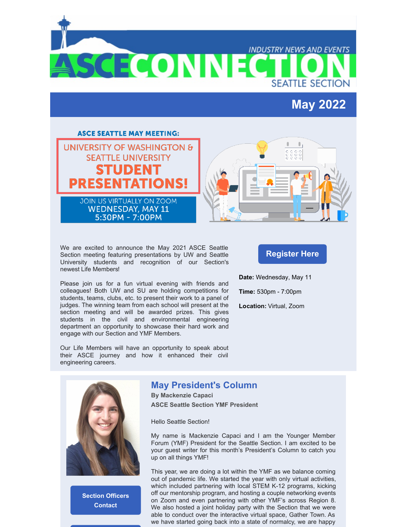**SCECONN** 

## **May 2022**

**SEATTLE SECTION** 

**INDUSTRY NEWS AND EVENTS** 



We are excited to announce the May 2021 ASCE Seattle Section meeting featuring presentations by UW and Seattle University students and recognition of our Section's newest Life [Members](https://www.asce.org/membership/join/life-member)!

Please join us for a fun virtual evening with friends and colleagues! Both UW and SU are holding competitions for students, teams, clubs, etc. to present their work to a panel of judges. The winning team from each school will present at the section meeting and will be awarded prizes. This gives students in the civil and environmental engineering department an opportunity to showcase their hard work and engage with our Section and YMF Members.

Our Life Members will have an opportunity to speak about their ASCE journey and how it enhanced their civil engineering careers.

#### **[Register](http://events.r20.constantcontact.com/register/event?oeidk=a07ej5p3jl04c1e07fd&llr=5zncxmlab&showPage=true) Here**

**Date:** Wednesday, May 11

**Time:** 530pm - 7:00pm

**Location:** Virtual, Zoom



**Section [Officers](http://sections.asce.org/seattle/contacts) Contact**

#### **May President's Column**

**By Mackenzie Capaci ASCE Seattle Section YMF President**

Hello Seattle Section!

My name is Mackenzie Capaci and I am the Younger Member Forum (YMF) President for the Seattle Section. I am excited to be your guest writer for this month's President's Column to catch you up on all things YMF!

This year, we are doing a lot within the YMF as we balance coming out of pandemic life. We started the year with only virtual activities, which included partnering with local STEM K-12 programs, kicking off our mentorship program, and hosting a couple networking events on Zoom and even partnering with other YMF's across Region 8. We also hosted a joint holiday party with the Section that we were able to conduct over the interactive virtual space, Gather Town. As we have started going back into a state of normalcy, we are happy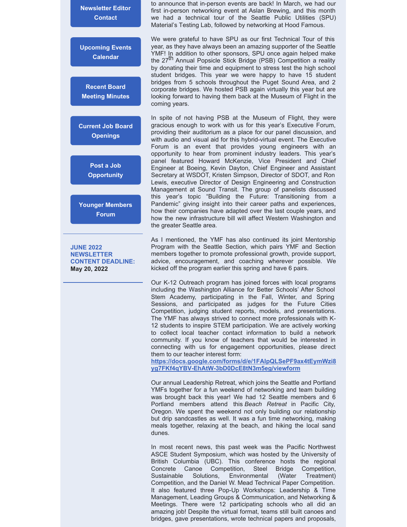**[Newsletter](mailto:communications@seattleasce.org) Editor Contact**

**[Upcoming](http://sections.asce.org/seattle/events) Events Calendar**

**Recent Board Meeting [Minutes](http://sections.asce.org/seattle/node/36)**

**Current Job Board [Openings](http://sections.asce.org/seattle/node/21)**

> **Post a Job [Opportunity](https://sections.asce.org/seattle/advertising-job-postings)**

**Younger [Members](https://www.seattleasceymf.org/) Forum**

**JUNE 2022 NEWSLETTER CONTENT DEADLINE: May 20, 2022**

to announce that in-person events are back! In March, we had our first in-person networking event at Aslan Brewing, and this month we had a technical tour of the Seattle Public Utilities (SPU) Material's Testing Lab, followed by networking at Hood Famous.

We were grateful to have SPU as our first Technical Tour of this year, as they have always been an amazing supporter of the Seattle YMF! In addition to other sponsors, SPU once again helped make the 27<sup>th</sup> Annual Popsicle Stick Bridge (PSB) Competition a reality by donating their time and equipment to stress test the high school student bridges. This year we were happy to have 15 student bridges from 5 schools throughout the Puget Sound Area, and 2 corporate bridges. We hosted PSB again virtually this year but are looking forward to having them back at the Museum of Flight in the coming years.

In spite of not having PSB at the Museum of Flight, they were gracious enough to work with us for this year's Executive Forum, providing their auditorium as a place for our panel discussion, and with audio and visual aid for this hybrid-virtual event. The Executive Forum is an event that provides young engineers with an opportunity to hear from prominent industry leaders. This year's panel featured Howard McKenzie, Vice President and Chief Engineer at Boeing, Kevin Dayton, Chief Engineer and Assistant Secretary at WSDOT, Kristen Simpson, Director of SDOT, and Ron Lewis, executive Director of Design Engineering and Construction Management at Sound Transit. The group of panelists discussed this year's topic "Building the Future: Transitioning from a Pandemic" giving insight into their career paths and experiences, how their companies have adapted over the last couple years, and how the new infrastructure bill will affect Western Washington and the greater Seattle area.

As I mentioned, the YMF has also continued its joint Mentorship Program with the Seattle Section, which pairs YMF and Section members together to promote professional growth, provide support, advice, encouragement, and coaching wherever possible. We kicked off the program earlier this spring and have 6 pairs.

Our K-12 Outreach program has joined forces with local programs including the Washington Alliance for Better Schools' After School Stem Academy, participating in the Fall, Winter, and Spring Sessions, and participated as judges for the Future Cities Competition, judging student reports, models, and presentations. The YMF has always strived to connect more professionals with K-12 students to inspire STEM participation. We are actively working to collect local teacher contact information to build a network community. If you know of teachers that would be interested in connecting with us for engagement opportunities, please direct them to our teacher interest form:

**[https://docs.google.com/forms/d/e/1FAIpQLSePF9ax4tEymWzi8](https://docs.google.com/forms/d/e/1FAIpQLSePF9ax4tEymWzi8yg7FKf4qYBV-EhAtW-3bD0DcE8tN3m5eg/viewform) yg7FKf4qYBV-EhAtW-3bD0DcE8tN3m5eg/viewform**

Our annual Leadership Retreat, which joins the Seattle and Portland YMFs together for a fun weekend of networking and team building was brought back this year! We had 12 Seattle members and 6 Portland members attend this *Beach Retreat* in Pacific City, Oregon. We spent the weekend not only building our relationship but drip sandcastles as well. It was a fun time networking, making meals together, relaxing at the beach, and hiking the local sand dunes.

In most recent news, this past week was the Pacific Northwest ASCE Student Symposium, which was hosted by the University of British Columbia (UBC). This conference hosts the regional Concrete Canoe Competition, Steel Bridge Competition, Sustainable Solutions, Environmental (Water Treatment) Competition, and the Daniel W. Mead Technical Paper Competition. It also featured three Pop-Up Workshops: Leadership & Time Management, Leading Groups & Communication, and Networking & Meetings. There were 12 participating schools who all did an amazing job! Despite the virtual format, teams still built canoes and bridges, gave presentations, wrote technical papers and proposals,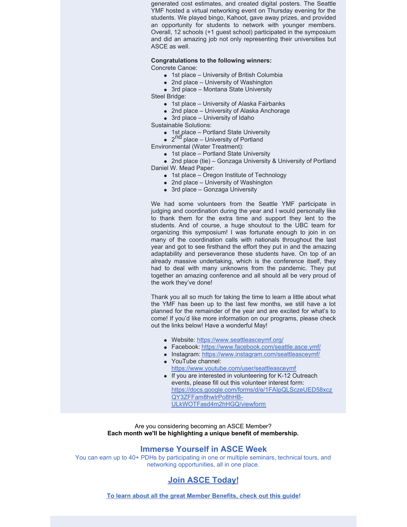generated cost estimates, and created digital posters. The Seattle YMF hosted a virtual networking event on Thursday evening for the students. We played bingo, Kahoot, gave away prizes, and provided an opportunity for students to network with younger members. Overall, 12 schools (+1 guest school) participated in the symposium and did an amazing job not only representing their universities but ASCE as well.

**Congratulations to the following winners:** Concrete Canoe:

- 1st place University of British Columbia
- 2nd place University of Washington
- 3rd place Montana State University

Steel Bridge:

- 1st place University of Alaska Fairbanks
- 2nd place University of Alaska Anchorage
- 3rd place University of Idaho

Sustainable Solutions:

- 1st place Portland State University
- 2<sup>nd</sup> place University of Portland

Environmental (Water Treatment):

• 1st place – Portland State University

2nd place (tie) – Gonzaga University & University of Portland Daniel W. Mead Paper:

- 1st place Oregon Institute of Technology
- 2nd place University of Washington
- 3rd place Gonzaga University

We had some volunteers from the Seattle YMF participate in judging and coordination during the year and I would personally like to thank them for the extra time and support they lent to the students. And of course, a huge shoutout to the UBC team for organizing this symposium! I was fortunate enough to join in on many of the coordination calls with nationals throughout the last year and got to see firsthand the effort they put in and the amazing adaptability and perseverance these students have. On top of an already massive undertaking, which is the conference itself, they had to deal with many unknowns from the pandemic. They put together an amazing conference and all should all be very proud of the work they've done!

Thank you all so much for taking the time to learn a little about what the YMF has been up to the last few months, we still have a lot planned for the remainder of the year and are excited for what's to come! If you'd like more information on our programs, please check out the links below! Have a wonderful May!

- Website: <https://www.seattleasceymf.org/>
- Facebook: <https://www.facebook.com/seattle.asce.ymf/>
- Instagram: <https://www.instagram.com/seattleasceymf/>
- YouTube channel: <https://www.youtube.com/user/seattleasceymf> • If you are interested in volunteering for K-12 Outreach events, please fill out this volunteer interest form: [https://docs.google.com/forms/d/e/1FAIpQLSczeUED58xcz](https://docs.google.com/forms/d/e/1FAIpQLSczeUED58xczQY3ZFFam8hwlrPo8hHB-ULkWOTFasd4m2hHGQ/viewform) QY3ZFFam8hwlrPo8hHB-ULkWOTFasd4m2hHGQ/viewform

Are you considering becoming an ASCE Member? **Each month we'll be highlighting a unique benefit of membership.**

#### **Immerse Yourself in ASCE Week**

You can earn up to 40+ PDHs by participating in one or multiple seminars, technical tours, and networking opportunities, all in one place.

### **Join ASCE [Today!](https://www.asce.org/join/)**

**To learn about all the great Member [Benefits,](https://www.asce.org/-/media/asce-images-and-files/membership/documents/asce-member-benefits-guide.pdf) check out this guide!**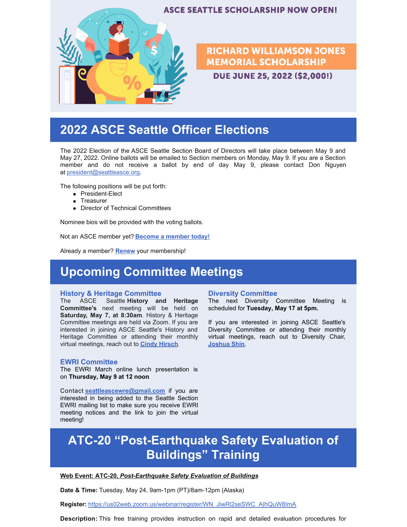

# **2022 ASCE Seattle Officer Elections**

The 2022 Election of the ASCE Seattle Section Board of Directors will take place between May 9 and May 27, 2022. Online ballots will be emailed to Section members on Monday, May 9. If you are a Section member and do not receive a ballot by end of day May 9, please contact Don Nguyen at [president@seattleasce.org](mailto:president@seattleasce.org).

The following positions will be put forth:

- President-Elect
- Treasurer
- Director of Technical Committees

Nominee bios will be provided with the voting ballots.

Not an ASCE member yet? **Become a [member](https://www.asce.org/join/) today!**

Already a member? **[Renew](https://sp360.asce.org/SSO/Login.aspx?vi=7&vt=074bb875200065dae89b1391a689315bb41bc74ae1f36a8510bfb22dd6fa0b5645580f7990bc494a31cc1adcdd7033d51cd7cad27c2c13a30d56462ac2b9d5b45cb266869f27935d7c4873bd1867bc3d9881a3bb24cf13a544f42b84faa0329ffe86e5bbaf2420bca1fe9b37fb75bfcd65224e357a8680714b9aa570b2632cc7f612c5562a4aaca73d630419cb2696cd688ea4cd698f3f100af6a6fba222e3acbeb84c22fcdee8e6cc665c7b084a21af84c1de95412027c26a164c1c253cb995)** your membership!

## **Upcoming Committee Meetings**

#### **History & Heritage Committee**

The ASCE Seattle **History and Heritage Committee's** next meeting will be held on **Saturday, May 7, at 8:30am**. History & Heritage Committee meetings are held via Zoom. If you are interested in joining ASCE Seattle's History and Heritage Committee or attending their monthly virtual meetings, reach out to **Cindy [Hirsch](mailto:msairportchick@hotmail.com)**[.](mailto:msairportchick@hotmail.com)

#### **EWRI Committee**

The EWRI March online lunch presentation is on **Thursday, May 9 at 12 noon**.

Contact **[seattleascewre@gmail.com](mailto:seattleascewre@gmail.com)** if you are interested in being added to the Seattle Section EWRI mailing list to make sure you receive EWRI meeting notices and the link to join the virtual meeting!

#### **Diversity Committee**

The next Diversity Committee Meeting is scheduled for **Tuesday, May 17 at 5pm.**

If you are interested in joining ASCE Seattle's Diversity Committee or attending their monthly virtual meetings, reach out to Diversity Chair, **[Joshua](mailto:diversity@seattleasce.org) Shin.**

# **ATC-20 "Post-Earthquake Safety Evaluation of Buildings" Training**

#### **Web Event: [ATC-20,](https://nam12.safelinks.protection.outlook.com/?url=https%3A%2F%2Fr20.rs6.net%2Ftn.jsp%3Ff%3D001_TsRV8AU86f5mDtW9XSS2HYSgYDbaB5vc1mNVK7ti5UUsnZUKCfZsOVHnyDnvU689klOBfQLzyW3LYIToWcwB2u4qtLtETVFVMKTSeNn50C5-u3SpYoS8VySRmquw5JvM2XDcn0-eytIjVYh-EETC-dkqUFZ6hItLsxy_87i84pU18ti1kj1z77bAmUKmQ62H7urrltz10c%3D%26c%3D_imnhVEvvEN2owKev92BFo0ZHiatarfzz8A_JjkOzkqSFeLA70A1QA%3D%3D%26ch%3De2ltKQvv2wQ0e12nFsWTdEU4LjAfiXPVRs8x_4R7-geVRSer4xNEbg%3D%3D&data=05%7C01%7C%7C163ed7c236a545f0c66d08da2226461e%7C84df9e7fe9f640afb435aaaaaaaaaaaa%7C1%7C0%7C637859845067190674%7CUnknown%7CTWFpbGZsb3d8eyJWIjoiMC4wLjAwMDAiLCJQIjoiV2luMzIiLCJBTiI6Ik1haWwiLCJXVCI6Mn0%3D%7C3000%7C%7C%7C&sdata=8qTWK06bPwwGVRvTURYFiUg14nuz%2BD5rB57ixWmBg6I%3D&reserved=0)** *[Post-Earthquake](https://nam12.safelinks.protection.outlook.com/?url=https%3A%2F%2Fr20.rs6.net%2Ftn.jsp%3Ff%3D001_TsRV8AU86f5mDtW9XSS2HYSgYDbaB5vc1mNVK7ti5UUsnZUKCfZsOVHnyDnvU689klOBfQLzyW3LYIToWcwB2u4qtLtETVFVMKTSeNn50C5-u3SpYoS8VySRmquw5JvM2XDcn0-eytIjVYh-EETC-dkqUFZ6hItLsxy_87i84pU18ti1kj1z77bAmUKmQ62H7urrltz10c%3D%26c%3D_imnhVEvvEN2owKev92BFo0ZHiatarfzz8A_JjkOzkqSFeLA70A1QA%3D%3D%26ch%3De2ltKQvv2wQ0e12nFsWTdEU4LjAfiXPVRs8x_4R7-geVRSer4xNEbg%3D%3D&data=05%7C01%7C%7C163ed7c236a545f0c66d08da2226461e%7C84df9e7fe9f640afb435aaaaaaaaaaaa%7C1%7C0%7C637859845067346903%7CUnknown%7CTWFpbGZsb3d8eyJWIjoiMC4wLjAwMDAiLCJQIjoiV2luMzIiLCJBTiI6Ik1haWwiLCJXVCI6Mn0%3D%7C3000%7C%7C%7C&sdata=viV70m4ZRRRlbD2%2BHgVIaHF83V8GECIz7Es3zoF0m8g%3D&reserved=0) Safety Evaluation of Buildings*

**Date & Time:** Tuesday, May 24, 9am-1pm (PT)/8am-12pm (Alaska)

**Register:** [https://us02web.zoom.us/webinar/register/WN\\_JiwRl2seSWC\\_AIhQuW8ImA](https://nam12.safelinks.protection.outlook.com/?url=https%3A%2F%2Fr20.rs6.net%2Ftn.jsp%3Ff%3D001_TsRV8AU86f5mDtW9XSS2HYSgYDbaB5vc1mNVK7ti5UUsnZUKCfZsOVHnyDnvU68LGbb1RX70SJO_dqwMS9Hjrm6vYeJ5D9uCG1GMo7zZY-AKtxt_MkMXSXXstaexdTHr7B-OWa7HN0dV_nb3C2MHAMDEuvohgPNexzbNJMHNFrwe0e7uXaQXh1_GCGNKZK55maGOoH0MS6Xsr0VEqXa2GGF_ai5ccoMmbPjDINIGHo_YZ3zLYKTa1xImFWAxYPQNsP92K3l29lNNx53XEFvaaVMTkCUs0yphv-akbyfjnci_dxxrTcRJ6MTFtDeSTrnMFew7Q-0MF8XZSYdjxwXixEXfVs92B7ER70Y0SCG6tkE3etxAiMrD37Hm7cptmzK7Gs75SqvimEVZTFhivFuxJ6mtjpA08cPj5q4m3DY0AGnUkAS2I8ay8klIDrpJPn9Vst2HOPjUe_KcN_l4p0rarkthMsLlFzid1yo5fezD9IhYdmp9nQKoFwZstpQtdqdQpcVWnmiF21UsdbMjyMEXYtDfTrjyjW-mM3fi6Cfzd0pxkmY-wOiXV-OpSNCazJ4a26Z1aGcyULgUgtKqi_cO1fDftp_ZWtznKasFGQ99D7-SrFwkI-dSikx8oY_qAlkGnkZdtTqBqQ5LpPoK9QgR8s2GtZB938E0RQnYQQbs57O0HQtVi3xjnzNkNWZutpcUVL4Zt0sZ07xGOlNQJj2Hw%3D%3D%26c%3D_imnhVEvvEN2owKev92BFo0ZHiatarfzz8A_JjkOzkqSFeLA70A1QA%3D%3D%26ch%3De2ltKQvv2wQ0e12nFsWTdEU4LjAfiXPVRs8x_4R7-geVRSer4xNEbg%3D%3D&data=05%7C01%7C%7C163ed7c236a545f0c66d08da2226461e%7C84df9e7fe9f640afb435aaaaaaaaaaaa%7C1%7C0%7C637859845067346903%7CUnknown%7CTWFpbGZsb3d8eyJWIjoiMC4wLjAwMDAiLCJQIjoiV2luMzIiLCJBTiI6Ik1haWwiLCJXVCI6Mn0%3D%7C3000%7C%7C%7C&sdata=3ndVJBQ8FhuZuI2RHF2TPBDt2FyodbhmO86fd7KfrNk%3D&reserved=0)

**Description:** This free training provides instruction on rapid and detailed evaluation procedures for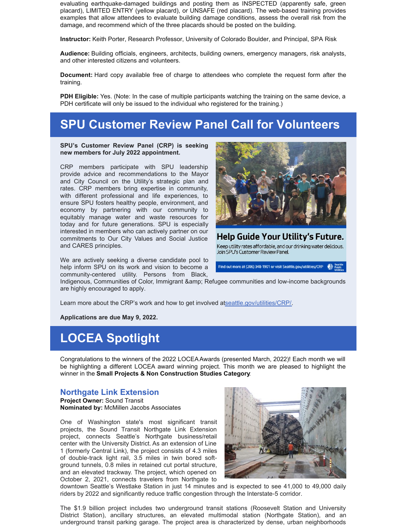evaluating earthquake-damaged buildings and posting them as INSPECTED (apparently safe, green placard), LIMITED ENTRY (yellow placard), or UNSAFE (red placard). The web-based training provides examples that allow attendees to evaluate building damage conditions, assess the overall risk from the damage, and recommend which of the three placards should be posted on the building.

**Instructor:** Keith Porter, Research Professor, University of Colorado Boulder, and Principal, SPA Risk

**Audience:** Building officials, engineers, architects, building owners, emergency managers, risk analysts, and other interested citizens and volunteers.

**Document:** Hard copy available free of charge to attendees who complete the request form after the training.

**PDH Eligible:** Yes. (Note: In the case of multiple participants watching the training on the same device, a PDH certificate will only be issued to the individual who registered for the training.)

### **SPU Customer Review Panel Call for Volunteers**

**SPU's Customer Review Panel (CRP) is seeking new members for July 2022 appointment.**

CRP members participate with SPU leadership provide advice and recommendations to the Mayor and City Council on the Utility's strategic plan and rates. CRP members bring expertise in community, with different professional and life experiences, to ensure SPU fosters healthy people, environment, and economy by partnering with our community to equitably manage water and waste resources for today and for future generations. SPU is especially interested in members who can actively partner on our commitments to Our City Values and Social Justice and CARES principles.

We are actively seeking a diverse candidate pool to help inform SPU on its work and vision to become a community-centered utility. Persons from Black,



Help Guide Your Utility's Future. Keep utility rates affordable, and our drinking water delicious. Join SPU's Customer Review Panel.

Find out more at (206) 348-1901 or visit Seattle.gov/utilities/CRP

Indigenous, Communities of Color, Immigrant & Refugee communities and low-income backgrounds are highly encouraged to apply.

Learn more about the CRP's work and how to get involved a[tseattle.gov/utilities/CRP/](http://seattle.gov/utilities/about/plans/strategic-business-plan/customer-review-panel)

**Applications are due May 9, 2022.**

## **LOCEA Spotlight**

Congratulations to the winners of the 2022 LOCEAAwards (presented March, 2022)! Each month we will be highlighting a different LOCEA award winning project. This month we are pleased to highlight the winner in the **Small Projects & Non Construction Studies Category**:

#### **Northgate Link Extension**

**Project Owner:** Sound Transit **Nominated by:** McMillen Jacobs Associates

One of Washington state's most significant transit projects, the Sound Transit Northgate Link Extension project, connects Seattle's Northgate business/retail center with the University District. As an extension of Line 1 (formerly Central Link), the project consists of 4.3 miles of double‐track light rail, 3.5 miles in twin bored soft‐ ground tunnels, 0.8 miles in retained cut portal structure, and an elevated trackway. The project, which opened on October 2, 2021, connects travelers from Northgate to



downtown Seattle's Westlake Station in just 14 minutes and is expected to see 41,000 to 49,000 daily riders by 2022 and significantly reduce traffic congestion through the Interstate‐5 corridor.

The \$1.9 billion project includes two underground transit stations (Roosevelt Station and University District Station), ancillary structures, an elevated multimodal station (Northgate Station), and an underground transit parking garage. The project area is characterized by dense, urban neighborhoods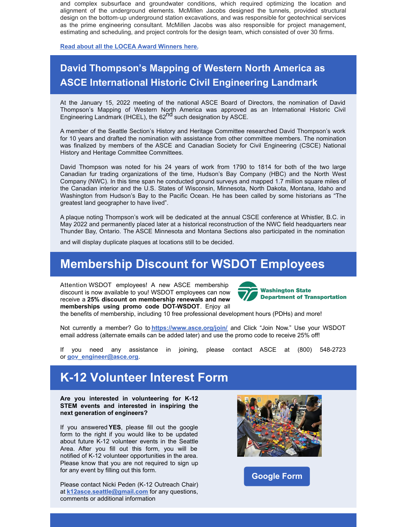and complex subsurface and groundwater conditions, which required optimizing the location and alignment of the underground elements. McMillen Jacobs designed the tunnels, provided structural design on the bottom‐up underground station excavations, and was responsible for geotechnical services as the prime engineering consultant. McMillen Jacobs was also responsible for project management, estimating and scheduling, and project controls for the design team, which consisted of over 30 firms.

**Read about all the LOCEA Award [Winners](https://sections.asce.org/seattle/awards) here.**

### **David Thompson's Mapping of Western North America as ASCE International Historic Civil Engineering Landmark**

At the January 15, 2022 meeting of the national ASCE Board of Directors, the nomination of David Thompson's Mapping of Western North America was approved as an International Historic Civil Engineering Landmark (IHCEL), the 62<sup>nd</sup> such designation by ASCE.

A member of the Seattle Section's History and Heritage Committee researched David Thompson's work for 10 years and drafted the nomination with assistance from other committee members. The nomination was finalized by members of the ASCE and Canadian Society for Civil Engineering (CSCE) National History and Heritage Committee Committees.

David Thompson was noted for his 24 years of work from 1790 to 1814 for both of the two large Canadian fur trading organizations of the time, Hudson's Bay Company (HBC) and the North West Company (NWC). In this time span he conducted ground surveys and mapped 1.7 million square miles of the Canadian interior and the U.S. States of Wisconsin, Minnesota, North Dakota, Montana, Idaho and Washington from Hudson's Bay to the Pacific Ocean. He has been called by some historians as "The greatest land geographer to have lived".

A plaque noting Thompson's work will be dedicated at the annual CSCE conference at Whistler, B.C. in May 2022 and permanently placed later at a historical reconstruction of the NWC field headquarters near Thunder Bay, Ontario. The ASCE Minnesota and Montana Sections also participated in the nomination

and will display duplicate plaques at locations still to be decided.

### **Membership Discount for WSDOT Employees**

Attention [WSDOT](https://www.linkedin.com/feed/hashtag/?keywords=wsdot&highlightedUpdateUrns=urn%3Ali%3Aactivity%3A6887438154735984640) employees! A new ASCE membership discount is now available to you! WSDOT employees can now receive a **25% discount on membership renewals and new memberships using promo code DOT-WSDOT**. Enjoy all



the benefits of membership, including 10 free professional development hours (PDHs) and more!

Not currently a member? Go to **<https://www.asce.org/join/>** and Click "Join Now." Use your WSDOT email address (alternate emails can be added later) and use the promo code to receive 25% off!

If you need any assistance in joining, please contact ASCE at (800) 548-2723 or **[gov\\_engineer@asce.org](mailto:gov_engineer@asce.org)**.

## **K-12 Volunteer Interest Form**

**Are you interested in volunteering for K-12 STEM events and interested in inspiring the next generation of engineers?**

If you answered **YES**, please fill out the google form to the right if you would like to be updated about future K-12 volunteer events in the Seattle Area. After you fill out this form, you will be notified of K-12 volunteer opportunities in the area. Please know that you are not required to sign up for any event by filling out this form.

Please contact Nicki Peden (K-12 Outreach Chair) at **[k12asce.seattle@gmail.com](mailto:k12asce.seattle@gmail.com)** for any questions, comments or additional information